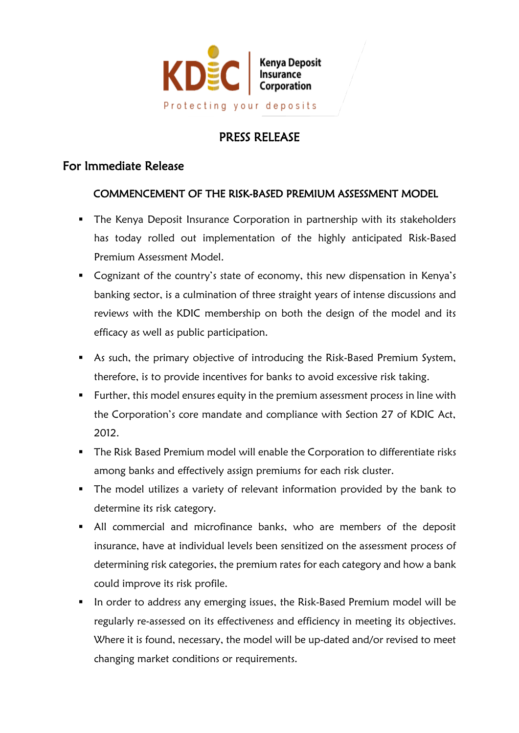

## PRESS RELEASE

## For Immediate Release

## COMMENCEMENT OF THE RISK-BASED PREMIUM ASSESSMENT MODEL

- **•** The Kenya Deposit Insurance Corporation in partnership with its stakeholders has today rolled out implementation of the highly anticipated Risk-Based Premium Assessment Model.
- Cognizant of the country's state of economy, this new dispensation in Kenya's banking sector, is a culmination of three straight years of intense discussions and reviews with the KDIC membership on both the design of the model and its efficacy as well as public participation.
- As such, the primary objective of introducing the Risk-Based Premium System, therefore, is to provide incentives for banks to avoid excessive risk taking.
- Further, this model ensures equity in the premium assessment process in line with the Corporation's core mandate and compliance with Section 27 of KDIC Act, 2012.
- **The Risk Based Premium model will enable the Corporation to differentiate risks** among banks and effectively assign premiums for each risk cluster.
- The model utilizes a variety of relevant information provided by the bank to determine its risk category.
- All commercial and microfinance banks, who are members of the deposit insurance, have at individual levels been sensitized on the assessment process of determining risk categories, the premium rates for each category and how a bank could improve its risk profile.
- In order to address any emerging issues, the Risk-Based Premium model will be regularly re-assessed on its effectiveness and efficiency in meeting its objectives. Where it is found, necessary, the model will be up-dated and/or revised to meet changing market conditions or requirements.